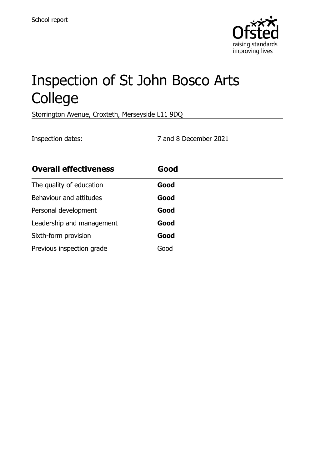

# Inspection of St John Bosco Arts College

Storrington Avenue, Croxteth, Merseyside L11 9DQ

Inspection dates: 7 and 8 December 2021

| <b>Overall effectiveness</b> | Good |
|------------------------------|------|
| The quality of education     | Good |
| Behaviour and attitudes      | Good |
| Personal development         | Good |
| Leadership and management    | Good |
| Sixth-form provision         | Good |
| Previous inspection grade    | Good |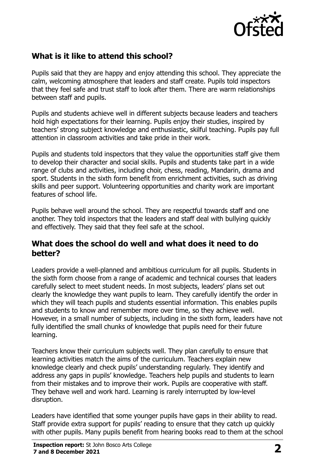

# **What is it like to attend this school?**

Pupils said that they are happy and enjoy attending this school. They appreciate the calm, welcoming atmosphere that leaders and staff create. Pupils told inspectors that they feel safe and trust staff to look after them. There are warm relationships between staff and pupils.

Pupils and students achieve well in different subjects because leaders and teachers hold high expectations for their learning. Pupils enjoy their studies, inspired by teachers' strong subject knowledge and enthusiastic, skilful teaching. Pupils pay full attention in classroom activities and take pride in their work.

Pupils and students told inspectors that they value the opportunities staff give them to develop their character and social skills. Pupils and students take part in a wide range of clubs and activities, including choir, chess, reading, Mandarin, drama and sport. Students in the sixth form benefit from enrichment activities, such as driving skills and peer support. Volunteering opportunities and charity work are important features of school life.

Pupils behave well around the school. They are respectful towards staff and one another. They told inspectors that the leaders and staff deal with bullying quickly and effectively. They said that they feel safe at the school.

#### **What does the school do well and what does it need to do better?**

Leaders provide a well-planned and ambitious curriculum for all pupils. Students in the sixth form choose from a range of academic and technical courses that leaders carefully select to meet student needs. In most subjects, leaders' plans set out clearly the knowledge they want pupils to learn. They carefully identify the order in which they will teach pupils and students essential information. This enables pupils and students to know and remember more over time, so they achieve well. However, in a small number of subjects, including in the sixth form, leaders have not fully identified the small chunks of knowledge that pupils need for their future learning.

Teachers know their curriculum subjects well. They plan carefully to ensure that learning activities match the aims of the curriculum. Teachers explain new knowledge clearly and check pupils' understanding regularly. They identify and address any gaps in pupils' knowledge. Teachers help pupils and students to learn from their mistakes and to improve their work. Pupils are cooperative with staff. They behave well and work hard. Learning is rarely interrupted by low-level disruption.

Leaders have identified that some younger pupils have gaps in their ability to read. Staff provide extra support for pupils' reading to ensure that they catch up quickly with other pupils. Many pupils benefit from hearing books read to them at the school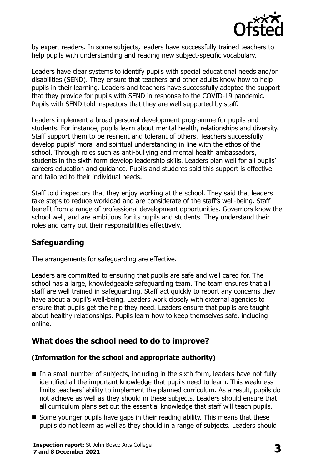

by expert readers. In some subjects, leaders have successfully trained teachers to help pupils with understanding and reading new subject-specific vocabulary.

Leaders have clear systems to identify pupils with special educational needs and/or disabilities (SEND). They ensure that teachers and other adults know how to help pupils in their learning. Leaders and teachers have successfully adapted the support that they provide for pupils with SEND in response to the COVID-19 pandemic. Pupils with SEND told inspectors that they are well supported by staff.

Leaders implement a broad personal development programme for pupils and students. For instance, pupils learn about mental health, relationships and diversity. Staff support them to be resilient and tolerant of others. Teachers successfully develop pupils' moral and spiritual understanding in line with the ethos of the school. Through roles such as anti-bullying and mental health ambassadors, students in the sixth form develop leadership skills. Leaders plan well for all pupils' careers education and guidance. Pupils and students said this support is effective and tailored to their individual needs.

Staff told inspectors that they enjoy working at the school. They said that leaders take steps to reduce workload and are considerate of the staff's well-being. Staff benefit from a range of professional development opportunities. Governors know the school well, and are ambitious for its pupils and students. They understand their roles and carry out their responsibilities effectively.

# **Safeguarding**

The arrangements for safeguarding are effective.

Leaders are committed to ensuring that pupils are safe and well cared for. The school has a large, knowledgeable safeguarding team. The team ensures that all staff are well trained in safeguarding. Staff act quickly to report any concerns they have about a pupil's well-being. Leaders work closely with external agencies to ensure that pupils get the help they need. Leaders ensure that pupils are taught about healthy relationships. Pupils learn how to keep themselves safe, including online.

# **What does the school need to do to improve?**

#### **(Information for the school and appropriate authority)**

- $\blacksquare$  In a small number of subjects, including in the sixth form, leaders have not fully identified all the important knowledge that pupils need to learn. This weakness limits teachers' ability to implement the planned curriculum. As a result, pupils do not achieve as well as they should in these subjects. Leaders should ensure that all curriculum plans set out the essential knowledge that staff will teach pupils.
- Some younger pupils have gaps in their reading ability. This means that these pupils do not learn as well as they should in a range of subjects. Leaders should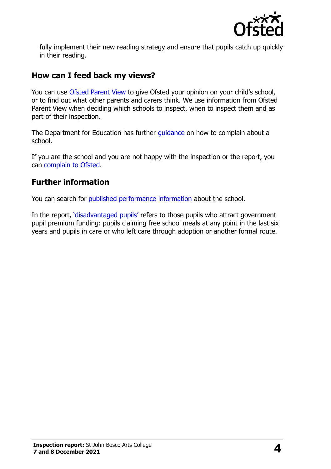

fully implement their new reading strategy and ensure that pupils catch up quickly in their reading.

### **How can I feed back my views?**

You can use [Ofsted Parent View](http://parentview.ofsted.gov.uk/) to give Ofsted your opinion on your child's school, or to find out what other parents and carers think. We use information from Ofsted Parent View when deciding which schools to inspect, when to inspect them and as part of their inspection.

The Department for Education has further quidance on how to complain about a school.

If you are the school and you are not happy with the inspection or the report, you can [complain to Ofsted.](http://www.gov.uk/complain-ofsted-report)

# **Further information**

You can search for [published performance information](http://www.compare-school-performance.service.gov.uk/) about the school.

In the report, '[disadvantaged pupils](http://www.gov.uk/guidance/pupil-premium-information-for-schools-and-alternative-provision-settings)' refers to those pupils who attract government pupil premium funding: pupils claiming free school meals at any point in the last six years and pupils in care or who left care through adoption or another formal route.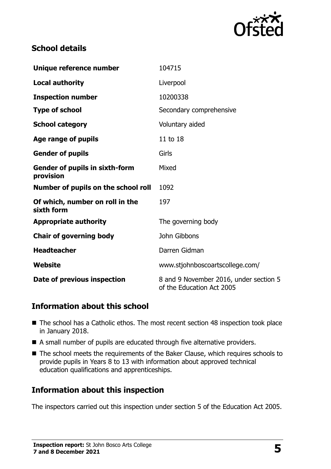

# **School details**

| Unique reference number                            | 104715                                                              |
|----------------------------------------------------|---------------------------------------------------------------------|
| <b>Local authority</b>                             | Liverpool                                                           |
| <b>Inspection number</b>                           | 10200338                                                            |
| <b>Type of school</b>                              | Secondary comprehensive                                             |
| <b>School category</b>                             | Voluntary aided                                                     |
| Age range of pupils                                | 11 to 18                                                            |
| <b>Gender of pupils</b>                            | Girls                                                               |
| <b>Gender of pupils in sixth-form</b><br>provision | Mixed                                                               |
| Number of pupils on the school roll                | 1092                                                                |
| Of which, number on roll in the<br>sixth form      | 197                                                                 |
| <b>Appropriate authority</b>                       | The governing body                                                  |
| <b>Chair of governing body</b>                     | John Gibbons                                                        |
| <b>Headteacher</b>                                 | Darren Gidman                                                       |
| Website                                            | www.stjohnboscoartscollege.com/                                     |
| Date of previous inspection                        | 8 and 9 November 2016, under section 5<br>of the Education Act 2005 |

# **Information about this school**

- The school has a Catholic ethos. The most recent section 48 inspection took place in January 2018.
- A small number of pupils are educated through five alternative providers.
- The school meets the requirements of the Baker Clause, which requires schools to provide pupils in Years 8 to 13 with information about approved technical education qualifications and apprenticeships.

# **Information about this inspection**

The inspectors carried out this inspection under section 5 of the Education Act 2005.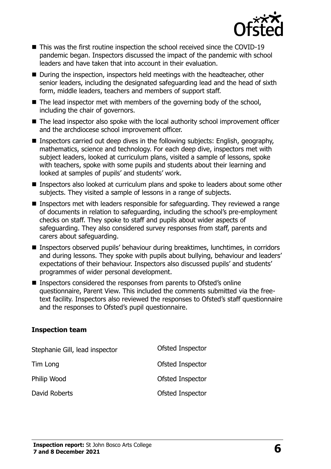

- This was the first routine inspection the school received since the COVID-19 pandemic began. Inspectors discussed the impact of the pandemic with school leaders and have taken that into account in their evaluation.
- During the inspection, inspectors held meetings with the headteacher, other senior leaders, including the designated safeguarding lead and the head of sixth form, middle leaders, teachers and members of support staff.
- $\blacksquare$  The lead inspector met with members of the governing body of the school, including the chair of governors.
- The lead inspector also spoke with the local authority school improvement officer and the archdiocese school improvement officer.
- Inspectors carried out deep dives in the following subjects: English, geography, mathematics, science and technology. For each deep dive, inspectors met with subject leaders, looked at curriculum plans, visited a sample of lessons, spoke with teachers, spoke with some pupils and students about their learning and looked at samples of pupils' and students' work.
- Inspectors also looked at curriculum plans and spoke to leaders about some other subjects. They visited a sample of lessons in a range of subjects.
- **Inspectors met with leaders responsible for safeguarding. They reviewed a range** of documents in relation to safeguarding, including the school's pre-employment checks on staff. They spoke to staff and pupils about wider aspects of safeguarding. They also considered survey responses from staff, parents and carers about safeguarding.
- Inspectors observed pupils' behaviour during breaktimes, lunchtimes, in corridors and during lessons. They spoke with pupils about bullying, behaviour and leaders' expectations of their behaviour. Inspectors also discussed pupils' and students' programmes of wider personal development.
- Inspectors considered the responses from parents to Ofsted's online questionnaire, Parent View. This included the comments submitted via the freetext facility. Inspectors also reviewed the responses to Ofsted's staff questionnaire and the responses to Ofsted's pupil questionnaire.

#### **Inspection team**

| Stephanie Gill, lead inspector | Ofsted Inspector |
|--------------------------------|------------------|
| Tim Long                       | Ofsted Inspector |
| Philip Wood                    | Ofsted Inspector |
| David Roberts                  | Ofsted Inspector |